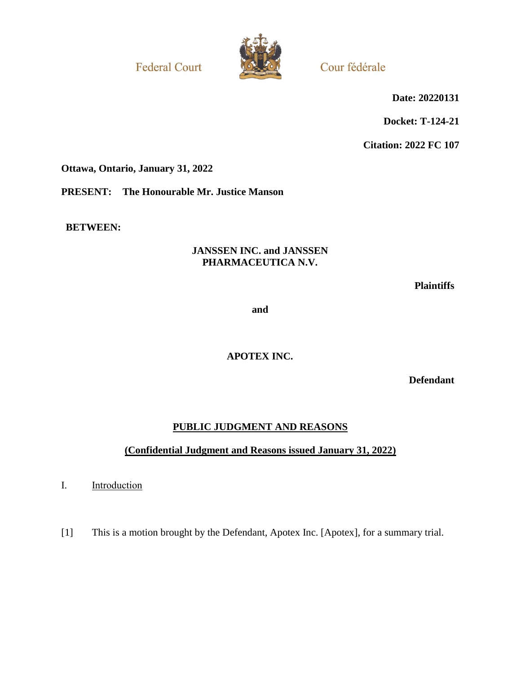**Federal Court** 



Cour fédérale

**Date: 20220131**

**Docket: T-124-21**

**Citation: 2022 FC 107**

**Ottawa, Ontario, January 31, 2022**

**PRESENT: The Honourable Mr. Justice Manson**

**BETWEEN:**

## **JANSSEN INC. and JANSSEN PHARMACEUTICA N.V.**

**Plaintiffs**

**and**

**APOTEX INC.**

**Defendant**

# **PUBLIC JUDGMENT AND REASONS**

## **(Confidential Judgment and Reasons issued January 31, 2022)**

I. **Introduction** 

[1] This is a motion brought by the Defendant, Apotex Inc. [Apotex], for a summary trial.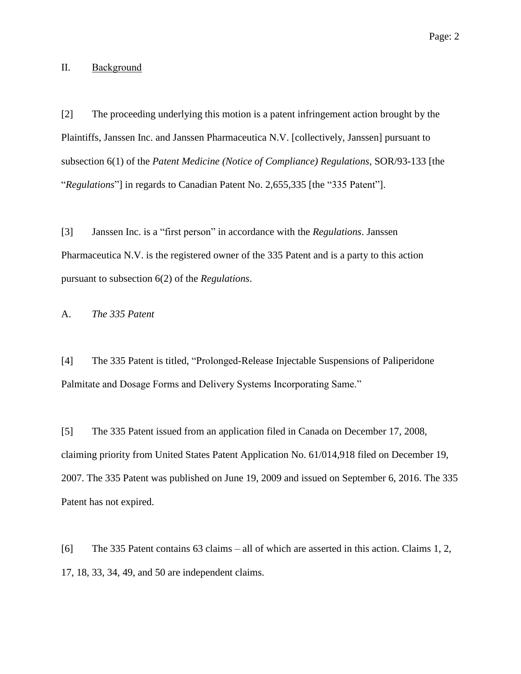## II. Background

[2] The proceeding underlying this motion is a patent infringement action brought by the Plaintiffs, Janssen Inc. and Janssen Pharmaceutica N.V. [collectively, Janssen] pursuant to subsection 6(1) of the *Patent Medicine (Notice of Compliance) Regulations*, SOR/93-133 [the "*Regulations*"] in regards to Canadian Patent No. 2,655,335 [the "335 Patent"].

[3] Janssen Inc. is a "first person" in accordance with the *Regulations*. Janssen Pharmaceutica N.V. is the registered owner of the 335 Patent and is a party to this action pursuant to subsection 6(2) of the *Regulations*.

A. *The 335 Patent*

[4] The 335 Patent is titled, "Prolonged-Release Injectable Suspensions of Paliperidone Palmitate and Dosage Forms and Delivery Systems Incorporating Same."

[5] The 335 Patent issued from an application filed in Canada on December 17, 2008, claiming priority from United States Patent Application No. 61/014,918 filed on December 19, 2007. The 335 Patent was published on June 19, 2009 and issued on September 6, 2016. The 335 Patent has not expired.

[6] The 335 Patent contains 63 claims – all of which are asserted in this action. Claims 1, 2, 17, 18, 33, 34, 49, and 50 are independent claims.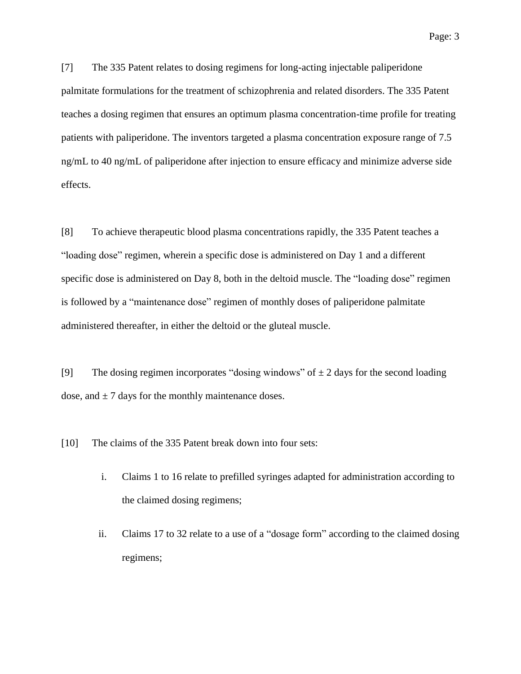Page: 3

[7] The 335 Patent relates to dosing regimens for long-acting injectable paliperidone palmitate formulations for the treatment of schizophrenia and related disorders. The 335 Patent teaches a dosing regimen that ensures an optimum plasma concentration-time profile for treating patients with paliperidone. The inventors targeted a plasma concentration exposure range of 7.5 ng/mL to 40 ng/mL of paliperidone after injection to ensure efficacy and minimize adverse side effects.

[8] To achieve therapeutic blood plasma concentrations rapidly, the 335 Patent teaches a "loading dose" regimen, wherein a specific dose is administered on Day 1 and a different specific dose is administered on Day 8, both in the deltoid muscle. The "loading dose" regimen is followed by a "maintenance dose" regimen of monthly doses of paliperidone palmitate administered thereafter, in either the deltoid or the gluteal muscle.

[9] The dosing regimen incorporates "dosing windows" of  $\pm 2$  days for the second loading dose, and  $\pm$  7 days for the monthly maintenance doses.

[10] The claims of the 335 Patent break down into four sets:

- i. Claims 1 to 16 relate to prefilled syringes adapted for administration according to the claimed dosing regimens;
- ii. Claims 17 to 32 relate to a use of a "dosage form" according to the claimed dosing regimens;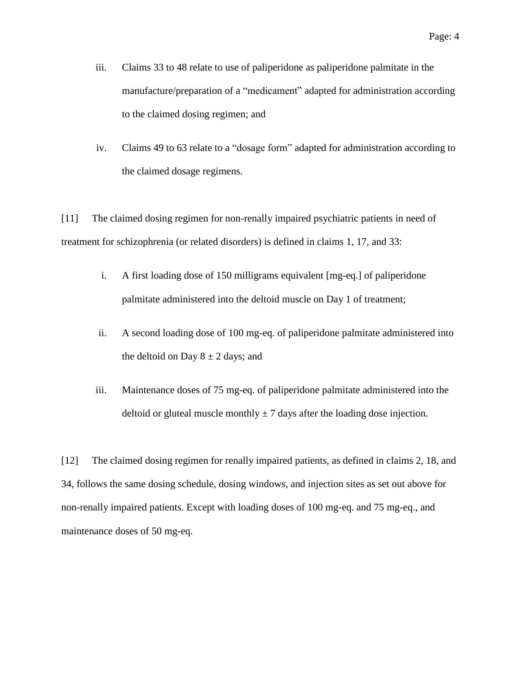- iii. Claims 33 to 48 relate to use of paliperidone as paliperidone palmitate in the manufacture/preparation of a "medicament" adapted for administration according to the claimed dosing regimen; and
- iv. Claims 49 to 63 relate to a "dosage form" adapted for administration according to the claimed dosage regimens.

[11] The claimed dosing regimen for non-renally impaired psychiatric patients in need of treatment for schizophrenia (or related disorders) is defined in claims 1, 17, and 33:

- i. A first loading dose of 150 milligrams equivalent [mg-eq.] of paliperidone palmitate administered into the deltoid muscle on Day 1 of treatment;
- ii. A second loading dose of 100 mg-eq. of paliperidone palmitate administered into the deltoid on Day  $8 \pm 2$  days; and
- iii. Maintenance doses of 75 mg-eq. of paliperidone palmitate administered into the deltoid or gluteal muscle monthly  $\pm$  7 days after the loading dose injection.

[12] The claimed dosing regimen for renally impaired patients, as defined in claims 2, 18, and 34, follows the same dosing schedule, dosing windows, and injection sites as set out above for non-renally impaired patients. Except with loading doses of 100 mg-eq. and 75 mg-eq., and maintenance doses of 50 mg-eq.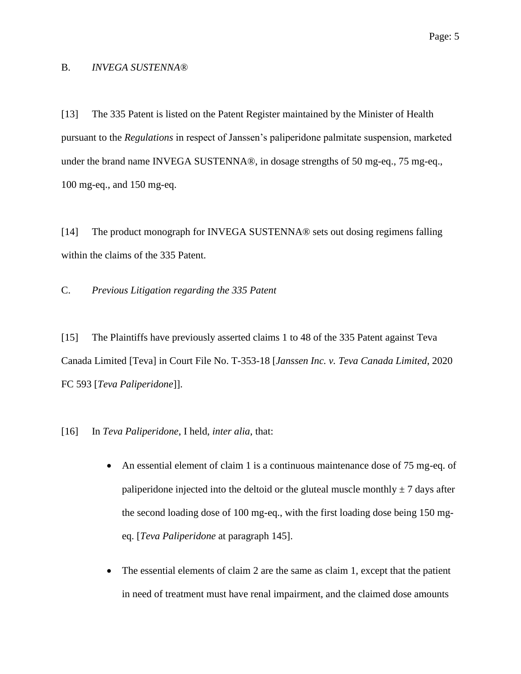#### B. *INVEGA SUSTENNA®*

[13] The 335 Patent is listed on the Patent Register maintained by the Minister of Health pursuant to the *Regulations* in respect of Janssen's paliperidone palmitate suspension, marketed under the brand name INVEGA SUSTENNA®, in dosage strengths of 50 mg-eq., 75 mg-eq., 100 mg-eq., and 150 mg-eq.

[14] The product monograph for INVEGA SUSTENNA® sets out dosing regimens falling within the claims of the 335 Patent.

C. *Previous Litigation regarding the 335 Patent*

[15] The Plaintiffs have previously asserted claims 1 to 48 of the 335 Patent against Teva Canada Limited [Teva] in Court File No. T-353-18 [*Janssen Inc. v. Teva Canada Limited*, 2020 FC 593 [*Teva Paliperidone*]].

[16] In *Teva Paliperidone*, I held, *inter alia*, that:

- An essential element of claim 1 is a continuous maintenance dose of 75 mg-eq. of paliperidone injected into the deltoid or the gluteal muscle monthly  $\pm$  7 days after the second loading dose of 100 mg-eq., with the first loading dose being 150 mgeq. [*Teva Paliperidone* at paragraph 145].
- The essential elements of claim 2 are the same as claim 1, except that the patient in need of treatment must have renal impairment, and the claimed dose amounts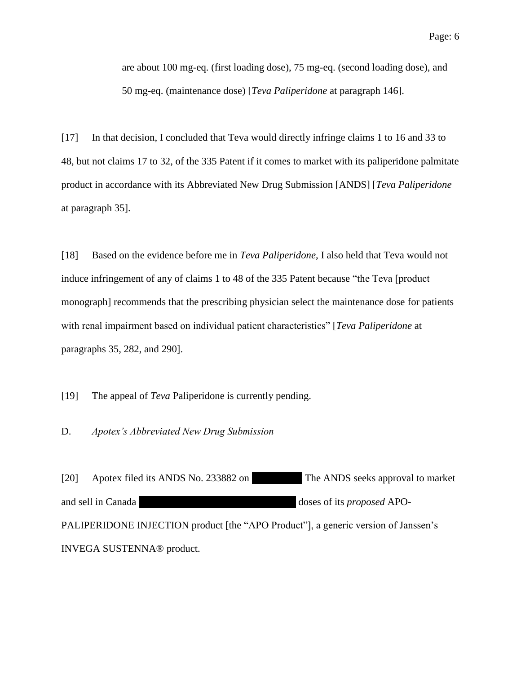are about 100 mg-eq. (first loading dose), 75 mg-eq. (second loading dose), and 50 mg-eq. (maintenance dose) [*Teva Paliperidone* at paragraph 146].

[17] In that decision, I concluded that Teva would directly infringe claims 1 to 16 and 33 to 48, but not claims 17 to 32, of the 335 Patent if it comes to market with its paliperidone palmitate product in accordance with its Abbreviated New Drug Submission [ANDS] [*Teva Paliperidone* at paragraph 35].

[18] Based on the evidence before me in *Teva Paliperidone*, I also held that Teva would not induce infringement of any of claims 1 to 48 of the 335 Patent because "the Teva [product monograph] recommends that the prescribing physician select the maintenance dose for patients with renal impairment based on individual patient characteristics" [*Teva Paliperidone* at paragraphs 35, 282, and 290].

[19] The appeal of *Teva* Paliperidone is currently pending.

D. *Apotex's Abbreviated New Drug Submission*

[20] Apotex filed its ANDS No. 233882 on The ANDS seeks approval to market and sell in Canada ||||||||||||||||||||||||||||||||||||||||||||||||||||||||||| | doses of its *proposed* APO-PALIPERIDONE INJECTION product [the "APO Product"], a generic version of Janssen's INVEGA SUSTENNA® product.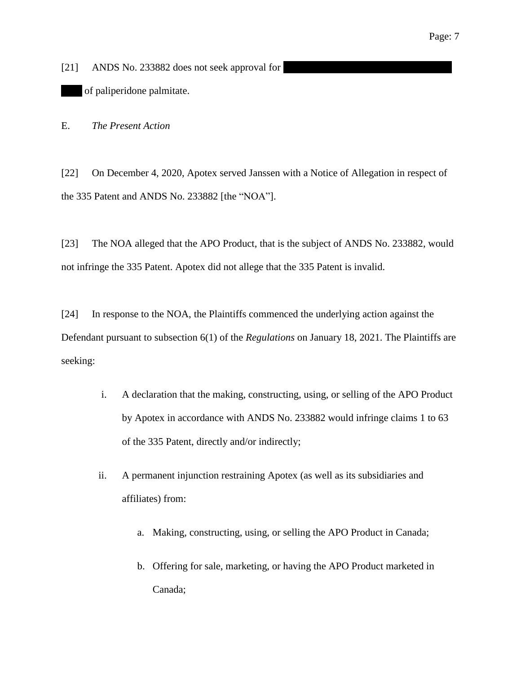[21] ANDS No. 233882 does not seek approval for of paliperidone palmitate.

E. *The Present Action*

[22] On December 4, 2020, Apotex served Janssen with a Notice of Allegation in respect of the 335 Patent and ANDS No. 233882 [the "NOA"].

[23] The NOA alleged that the APO Product, that is the subject of ANDS No. 233882, would not infringe the 335 Patent. Apotex did not allege that the 335 Patent is invalid.

[24] In response to the NOA, the Plaintiffs commenced the underlying action against the Defendant pursuant to subsection 6(1) of the *Regulations* on January 18, 2021. The Plaintiffs are seeking:

- i. A declaration that the making, constructing, using, or selling of the APO Product by Apotex in accordance with ANDS No. 233882 would infringe claims 1 to 63 of the 335 Patent, directly and/or indirectly;
- ii. A permanent injunction restraining Apotex (as well as its subsidiaries and affiliates) from:
	- a. Making, constructing, using, or selling the APO Product in Canada;
	- b. Offering for sale, marketing, or having the APO Product marketed in Canada;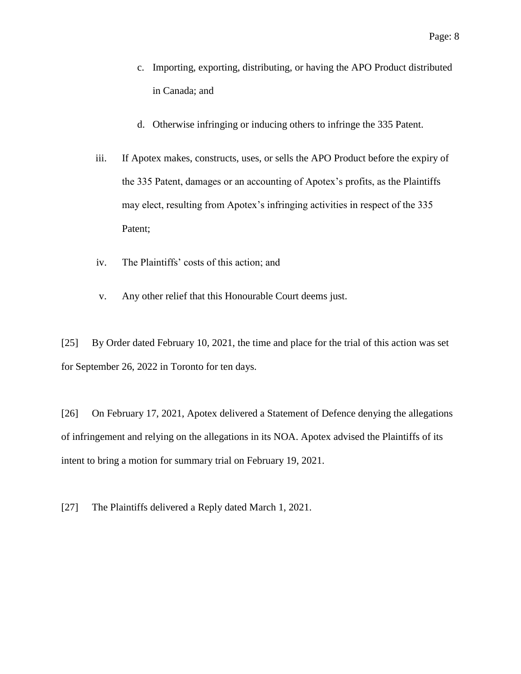- c. Importing, exporting, distributing, or having the APO Product distributed in Canada; and
- d. Otherwise infringing or inducing others to infringe the 335 Patent.
- iii. If Apotex makes, constructs, uses, or sells the APO Product before the expiry of the 335 Patent, damages or an accounting of Apotex's profits, as the Plaintiffs may elect, resulting from Apotex's infringing activities in respect of the 335 Patent;
- iv. The Plaintiffs' costs of this action; and
- v. Any other relief that this Honourable Court deems just.

[25] By Order dated February 10, 2021, the time and place for the trial of this action was set for September 26, 2022 in Toronto for ten days.

[26] On February 17, 2021, Apotex delivered a Statement of Defence denying the allegations of infringement and relying on the allegations in its NOA. Apotex advised the Plaintiffs of its intent to bring a motion for summary trial on February 19, 2021.

[27] The Plaintiffs delivered a Reply dated March 1, 2021.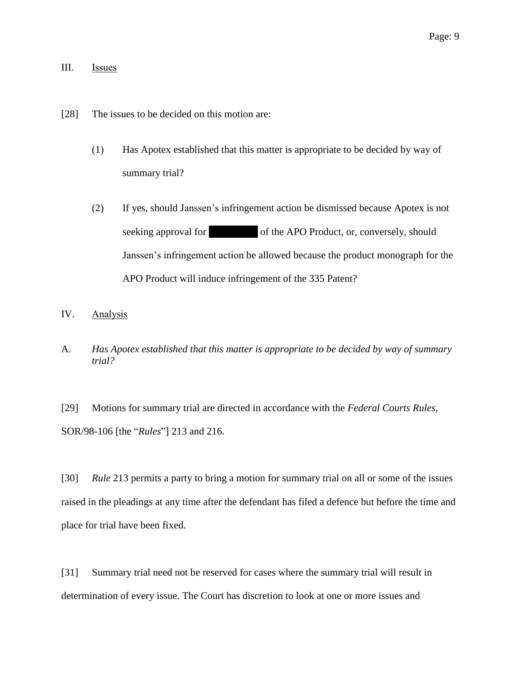## III. Issues

- [28] The issues to be decided on this motion are:
	- (1) Has Apotex established that this matter is appropriate to be decided by way of summary trial?
	- (2) If yes, should Janssen's infringement action be dismissed because Apotex is not seeking approval for  $|$  of the APO Product, or, conversely, should Janssen's infringement action be allowed because the product monograph for the APO Product will induce infringement of the 335 Patent?
- IV. Analysis
- A. *Has Apotex established that this matter is appropriate to be decided by way of summary trial?*

[29] Motions for summary trial are directed in accordance with the *Federal Courts Rules*, SOR/98-106 [the "*Rules*"] 213 and 216.

[30] *Rule* 213 permits a party to bring a motion for summary trial on all or some of the issues raised in the pleadings at any time after the defendant has filed a defence but before the time and place for trial have been fixed.

[31] Summary trial need not be reserved for cases where the summary trial will result in determination of every issue. The Court has discretion to look at one or more issues and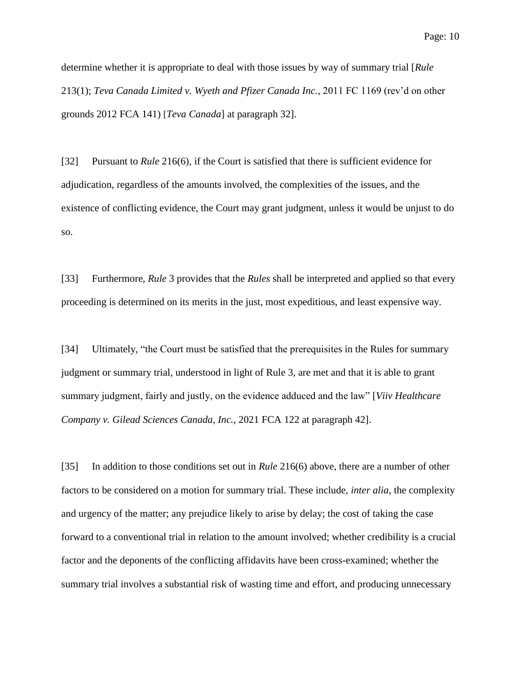determine whether it is appropriate to deal with those issues by way of summary trial [*Rule* 213(1); *Teva Canada Limited v. Wyeth and Pfizer Canada Inc.*, 2011 FC 1169 (rev'd on other grounds 2012 FCA 141) [*Teva Canada*] at paragraph 32].

[32] Pursuant to *Rule* 216(6), if the Court is satisfied that there is sufficient evidence for adjudication, regardless of the amounts involved, the complexities of the issues, and the existence of conflicting evidence, the Court may grant judgment, unless it would be unjust to do so.

[33] Furthermore, *Rule* 3 provides that the *Rules* shall be interpreted and applied so that every proceeding is determined on its merits in the just, most expeditious, and least expensive way.

[34] Ultimately, "the Court must be satisfied that the prerequisites in the Rules for summary judgment or summary trial, understood in light of Rule 3, are met and that it is able to grant summary judgment, fairly and justly, on the evidence adduced and the law" [*Viiv Healthcare Company v. Gilead Sciences Canada, Inc.*, 2021 FCA 122 at paragraph 42].

[35] In addition to those conditions set out in *Rule* 216(6) above, there are a number of other factors to be considered on a motion for summary trial. These include, *inter alia*, the complexity and urgency of the matter; any prejudice likely to arise by delay; the cost of taking the case forward to a conventional trial in relation to the amount involved; whether credibility is a crucial factor and the deponents of the conflicting affidavits have been cross-examined; whether the summary trial involves a substantial risk of wasting time and effort, and producing unnecessary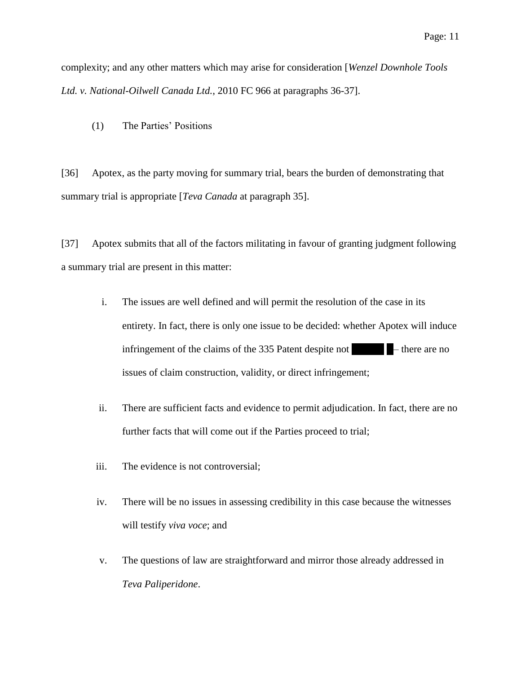complexity; and any other matters which may arise for consideration [*Wenzel Downhole Tools Ltd. v. National-Oilwell Canada Ltd.*, 2010 FC 966 at paragraphs 36-37].

(1) The Parties' Positions

[36] Apotex, as the party moving for summary trial, bears the burden of demonstrating that summary trial is appropriate [*Teva Canada* at paragraph 35].

[37] Apotex submits that all of the factors militating in favour of granting judgment following a summary trial are present in this matter:

- i. The issues are well defined and will permit the resolution of the case in its entirety. In fact, there is only one issue to be decided: whether Apotex will induce infringement of the claims of the  $335$  Patent despite not  $\blacksquare$  – there are no issues of claim construction, validity, or direct infringement;
- ii. There are sufficient facts and evidence to permit adjudication. In fact, there are no further facts that will come out if the Parties proceed to trial;
- iii. The evidence is not controversial;
- iv. There will be no issues in assessing credibility in this case because the witnesses will testify *viva voce*; and
- v. The questions of law are straightforward and mirror those already addressed in *Teva Paliperidone*.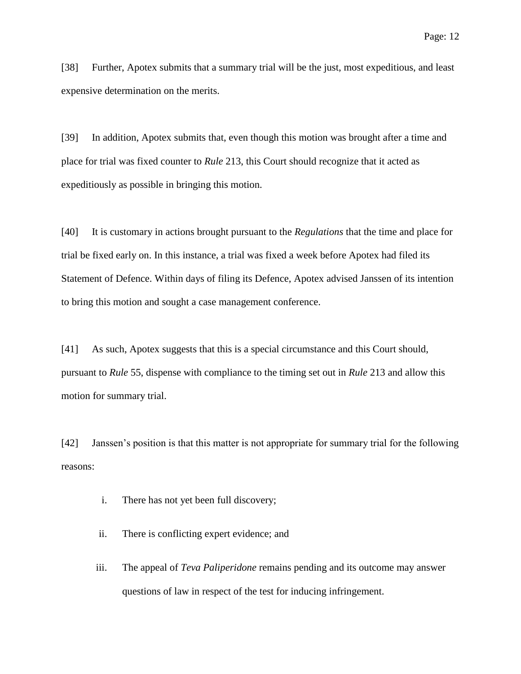[38] Further, Apotex submits that a summary trial will be the just, most expeditious, and least expensive determination on the merits.

[39] In addition, Apotex submits that, even though this motion was brought after a time and place for trial was fixed counter to *Rule* 213, this Court should recognize that it acted as expeditiously as possible in bringing this motion.

[40] It is customary in actions brought pursuant to the *Regulations* that the time and place for trial be fixed early on. In this instance, a trial was fixed a week before Apotex had filed its Statement of Defence. Within days of filing its Defence, Apotex advised Janssen of its intention to bring this motion and sought a case management conference.

[41] As such, Apotex suggests that this is a special circumstance and this Court should, pursuant to *Rule* 55, dispense with compliance to the timing set out in *Rule* 213 and allow this motion for summary trial.

[42] Janssen's position is that this matter is not appropriate for summary trial for the following reasons:

- i. There has not yet been full discovery;
- ii. There is conflicting expert evidence; and
- iii. The appeal of *Teva Paliperidone* remains pending and its outcome may answer questions of law in respect of the test for inducing infringement.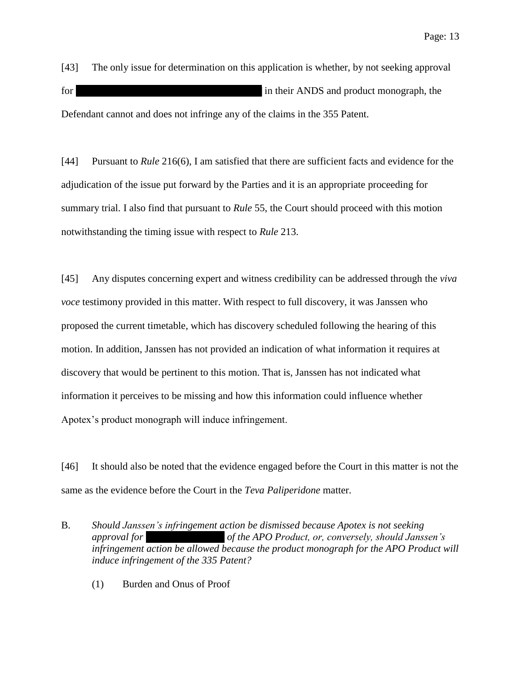[43] The only issue for determination on this application is whether, by not seeking approval for  $|$  in their ANDS and product monograph, the Defendant cannot and does not infringe any of the claims in the 355 Patent.

[44] Pursuant to *Rule* 216(6), I am satisfied that there are sufficient facts and evidence for the adjudication of the issue put forward by the Parties and it is an appropriate proceeding for summary trial. I also find that pursuant to *Rule* 55, the Court should proceed with this motion notwithstanding the timing issue with respect to *Rule* 213.

[45] Any disputes concerning expert and witness credibility can be addressed through the *viva voce* testimony provided in this matter. With respect to full discovery, it was Janssen who proposed the current timetable, which has discovery scheduled following the hearing of this motion. In addition, Janssen has not provided an indication of what information it requires at discovery that would be pertinent to this motion. That is, Janssen has not indicated what information it perceives to be missing and how this information could influence whether Apotex's product monograph will induce infringement.

[46] It should also be noted that the evidence engaged before the Court in this matter is not the same as the evidence before the Court in the *Teva Paliperidone* matter.

- B. *Should Janssen's infringement action be dismissed because Apotex is not seeking approval for |||||||||||||||||||||||||||| of the APO Product, or, conversely, should Janssen's infringement action be allowed because the product monograph for the APO Product will induce infringement of the 335 Patent?*
	- (1) Burden and Onus of Proof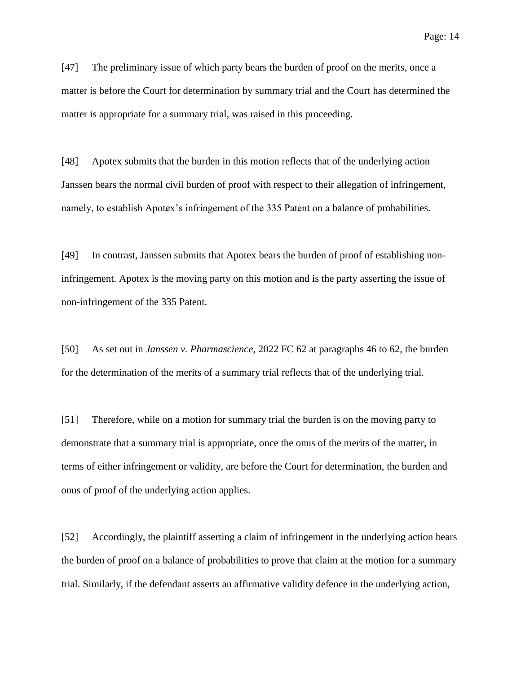[47] The preliminary issue of which party bears the burden of proof on the merits, once a matter is before the Court for determination by summary trial and the Court has determined the matter is appropriate for a summary trial, was raised in this proceeding.

[48] Apotex submits that the burden in this motion reflects that of the underlying action – Janssen bears the normal civil burden of proof with respect to their allegation of infringement, namely, to establish Apotex's infringement of the 335 Patent on a balance of probabilities.

[49] In contrast, Janssen submits that Apotex bears the burden of proof of establishing noninfringement. Apotex is the moving party on this motion and is the party asserting the issue of non-infringement of the 335 Patent.

[50] As set out in *Janssen v. Pharmascience*, 2022 FC 62 at paragraphs 46 to 62, the burden for the determination of the merits of a summary trial reflects that of the underlying trial.

[51] Therefore, while on a motion for summary trial the burden is on the moving party to demonstrate that a summary trial is appropriate, once the onus of the merits of the matter, in terms of either infringement or validity, are before the Court for determination, the burden and onus of proof of the underlying action applies.

[52] Accordingly, the plaintiff asserting a claim of infringement in the underlying action bears the burden of proof on a balance of probabilities to prove that claim at the motion for a summary trial. Similarly, if the defendant asserts an affirmative validity defence in the underlying action,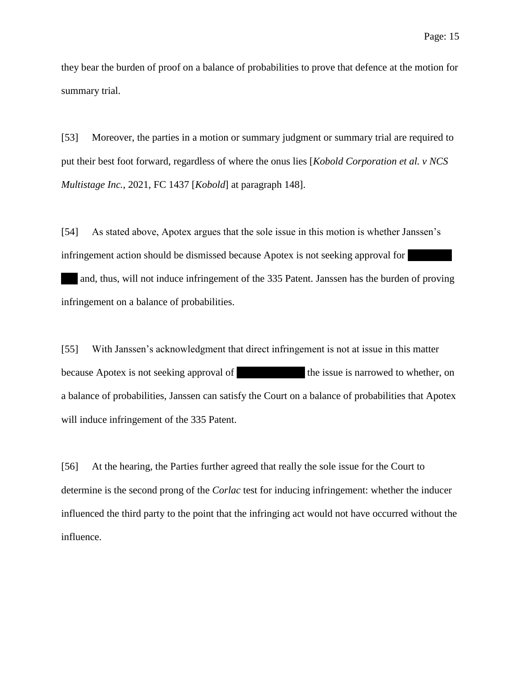they bear the burden of proof on a balance of probabilities to prove that defence at the motion for summary trial.

[53] Moreover, the parties in a motion or summary judgment or summary trial are required to put their best foot forward, regardless of where the onus lies [*Kobold Corporation et al. v NCS Multistage Inc.*, 2021, FC 1437 [*Kobold*] at paragraph 148].

[54] As stated above, Apotex argues that the sole issue in this motion is whether Janssen's infringement action should be dismissed because Apotex is not seeking approval for

| and, thus, will not induce infringement of the 335 Patent. Janssen has the burden of proving infringement on a balance of probabilities.

[55] With Janssen's acknowledgment that direct infringement is not at issue in this matter because Apotex is not seeking approval of  $\qquad \qquad$  the issue is narrowed to whether, on a balance of probabilities, Janssen can satisfy the Court on a balance of probabilities that Apotex will induce infringement of the 335 Patent.

[56] At the hearing, the Parties further agreed that really the sole issue for the Court to determine is the second prong of the *Corlac* test for inducing infringement: whether the inducer influenced the third party to the point that the infringing act would not have occurred without the influence.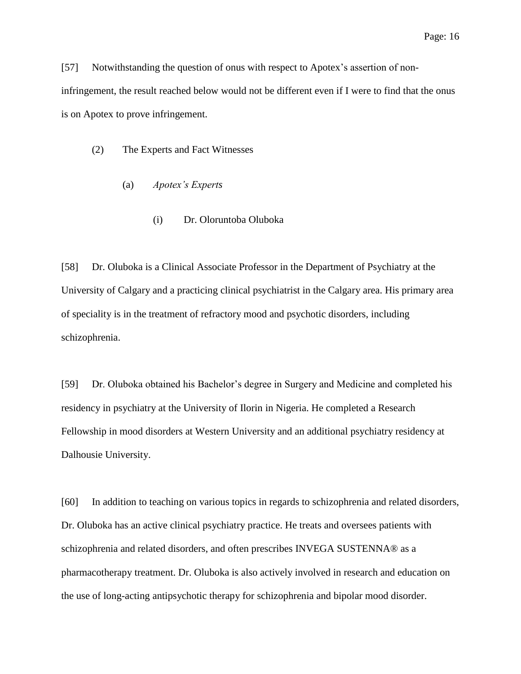[57] Notwithstanding the question of onus with respect to Apotex's assertion of noninfringement, the result reached below would not be different even if I were to find that the onus is on Apotex to prove infringement.

- (2) The Experts and Fact Witnesses
	- (a) *Apotex's Experts*
		- (i) Dr. Oloruntoba Oluboka

[58] Dr. Oluboka is a Clinical Associate Professor in the Department of Psychiatry at the University of Calgary and a practicing clinical psychiatrist in the Calgary area. His primary area of speciality is in the treatment of refractory mood and psychotic disorders, including schizophrenia.

[59] Dr. Oluboka obtained his Bachelor's degree in Surgery and Medicine and completed his residency in psychiatry at the University of Ilorin in Nigeria. He completed a Research Fellowship in mood disorders at Western University and an additional psychiatry residency at Dalhousie University.

[60] In addition to teaching on various topics in regards to schizophrenia and related disorders, Dr. Oluboka has an active clinical psychiatry practice. He treats and oversees patients with schizophrenia and related disorders, and often prescribes INVEGA SUSTENNA® as a pharmacotherapy treatment. Dr. Oluboka is also actively involved in research and education on the use of long-acting antipsychotic therapy for schizophrenia and bipolar mood disorder.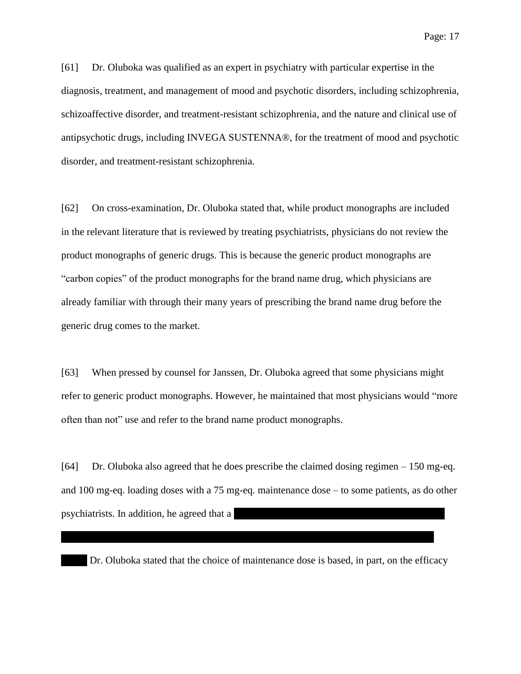Page: 17

[61] Dr. Oluboka was qualified as an expert in psychiatry with particular expertise in the diagnosis, treatment, and management of mood and psychotic disorders, including schizophrenia, schizoaffective disorder, and treatment-resistant schizophrenia, and the nature and clinical use of antipsychotic drugs, including INVEGA SUSTENNA®, for the treatment of mood and psychotic disorder, and treatment-resistant schizophrenia.

[62] On cross-examination, Dr. Oluboka stated that, while product monographs are included in the relevant literature that is reviewed by treating psychiatrists, physicians do not review the product monographs of generic drugs. This is because the generic product monographs are "carbon copies" of the product monographs for the brand name drug, which physicians are already familiar with through their many years of prescribing the brand name drug before the generic drug comes to the market.

[63] When pressed by counsel for Janssen, Dr. Oluboka agreed that some physicians might refer to generic product monographs. However, he maintained that most physicians would "more often than not" use and refer to the brand name product monographs.

[64] Dr. Oluboka also agreed that he does prescribe the claimed dosing regimen – 150 mg-eq. and 100 mg-eq. loading doses with a 75 mg-eq. maintenance dose – to some patients, as do other psychiatrists. In addition, he agreed that a

| Dr. Oluboka stated that the choice of maintenance dose is based, in part, on the efficacy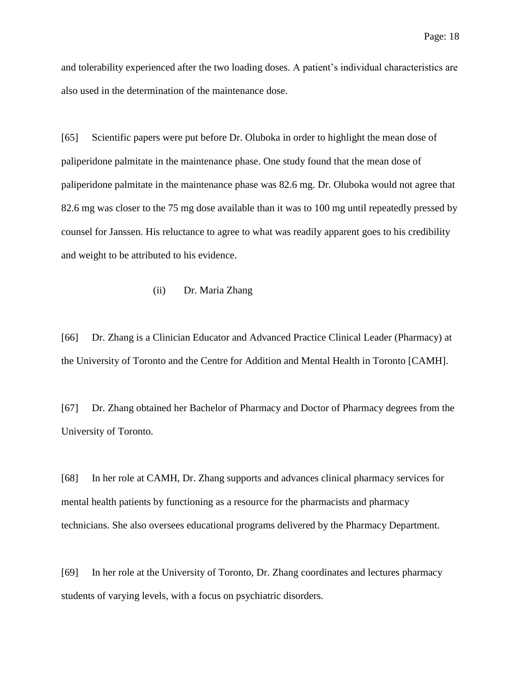and tolerability experienced after the two loading doses. A patient's individual characteristics are also used in the determination of the maintenance dose.

[65] Scientific papers were put before Dr. Oluboka in order to highlight the mean dose of paliperidone palmitate in the maintenance phase. One study found that the mean dose of paliperidone palmitate in the maintenance phase was 82.6 mg. Dr. Oluboka would not agree that 82.6 mg was closer to the 75 mg dose available than it was to 100 mg until repeatedly pressed by counsel for Janssen. His reluctance to agree to what was readily apparent goes to his credibility and weight to be attributed to his evidence.

### (ii) Dr. Maria Zhang

[66] Dr. Zhang is a Clinician Educator and Advanced Practice Clinical Leader (Pharmacy) at the University of Toronto and the Centre for Addition and Mental Health in Toronto [CAMH].

[67] Dr. Zhang obtained her Bachelor of Pharmacy and Doctor of Pharmacy degrees from the University of Toronto.

[68] In her role at CAMH, Dr. Zhang supports and advances clinical pharmacy services for mental health patients by functioning as a resource for the pharmacists and pharmacy technicians. She also oversees educational programs delivered by the Pharmacy Department.

[69] In her role at the University of Toronto, Dr. Zhang coordinates and lectures pharmacy students of varying levels, with a focus on psychiatric disorders.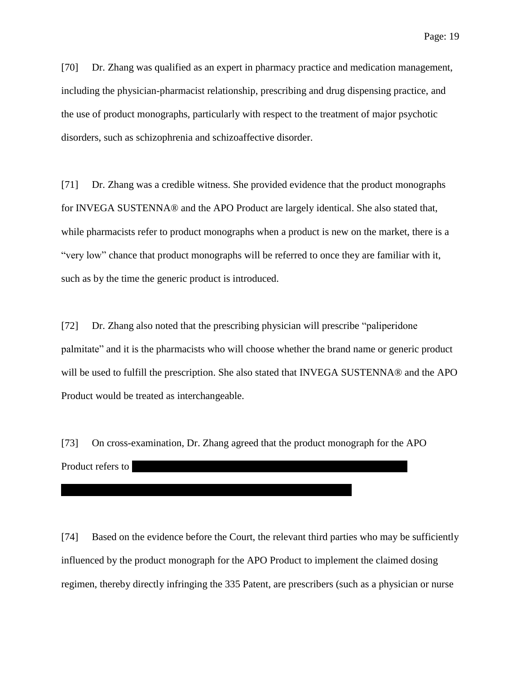[70] Dr. Zhang was qualified as an expert in pharmacy practice and medication management, including the physician-pharmacist relationship, prescribing and drug dispensing practice, and the use of product monographs, particularly with respect to the treatment of major psychotic disorders, such as schizophrenia and schizoaffective disorder.

[71] Dr. Zhang was a credible witness. She provided evidence that the product monographs for INVEGA SUSTENNA® and the APO Product are largely identical. She also stated that, while pharmacists refer to product monographs when a product is new on the market, there is a "very low" chance that product monographs will be referred to once they are familiar with it, such as by the time the generic product is introduced.

[72] Dr. Zhang also noted that the prescribing physician will prescribe "paliperidone palmitate" and it is the pharmacists who will choose whether the brand name or generic product will be used to fulfill the prescription. She also stated that INVEGA SUSTENNA® and the APO Product would be treated as interchangeable.

[73] On cross-examination, Dr. Zhang agreed that the product monograph for the APO Product refers to

[74] Based on the evidence before the Court, the relevant third parties who may be sufficiently influenced by the product monograph for the APO Product to implement the claimed dosing regimen, thereby directly infringing the 335 Patent, are prescribers (such as a physician or nurse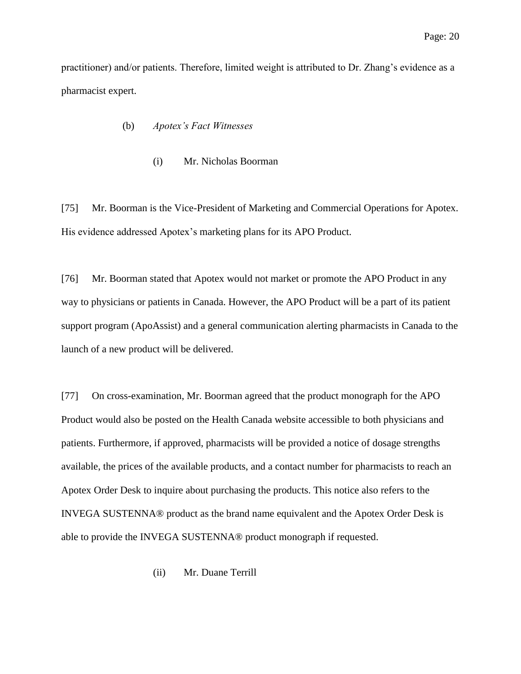practitioner) and/or patients. Therefore, limited weight is attributed to Dr. Zhang's evidence as a pharmacist expert.

### (b) *Apotex's Fact Witnesses*

(i) Mr. Nicholas Boorman

[75] Mr. Boorman is the Vice-President of Marketing and Commercial Operations for Apotex. His evidence addressed Apotex's marketing plans for its APO Product.

[76] Mr. Boorman stated that Apotex would not market or promote the APO Product in any way to physicians or patients in Canada. However, the APO Product will be a part of its patient support program (ApoAssist) and a general communication alerting pharmacists in Canada to the launch of a new product will be delivered.

[77] On cross-examination, Mr. Boorman agreed that the product monograph for the APO Product would also be posted on the Health Canada website accessible to both physicians and patients. Furthermore, if approved, pharmacists will be provided a notice of dosage strengths available, the prices of the available products, and a contact number for pharmacists to reach an Apotex Order Desk to inquire about purchasing the products. This notice also refers to the INVEGA SUSTENNA® product as the brand name equivalent and the Apotex Order Desk is able to provide the INVEGA SUSTENNA® product monograph if requested.

(ii) Mr. Duane Terrill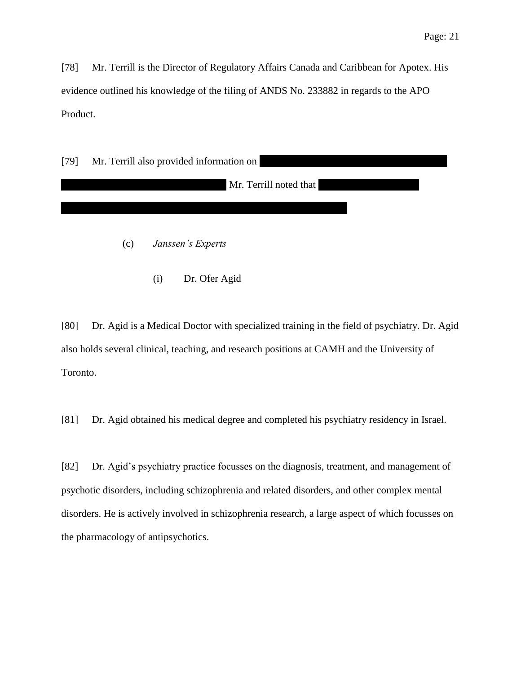[78] Mr. Terrill is the Director of Regulatory Affairs Canada and Caribbean for Apotex. His evidence outlined his knowledge of the filing of ANDS No. 233882 in regards to the APO Product.

| $[79]$ | Mr. Terrill also provided information on |  |  |
|--------|------------------------------------------|--|--|
|        | Mr. Terrill noted that                   |  |  |
|        |                                          |  |  |
|        | Janssen's Experts<br>(c)                 |  |  |

(i) Dr. Ofer Agid

[80] Dr. Agid is a Medical Doctor with specialized training in the field of psychiatry. Dr. Agid also holds several clinical, teaching, and research positions at CAMH and the University of Toronto.

[81] Dr. Agid obtained his medical degree and completed his psychiatry residency in Israel.

[82] Dr. Agid's psychiatry practice focusses on the diagnosis, treatment, and management of psychotic disorders, including schizophrenia and related disorders, and other complex mental disorders. He is actively involved in schizophrenia research, a large aspect of which focusses on the pharmacology of antipsychotics.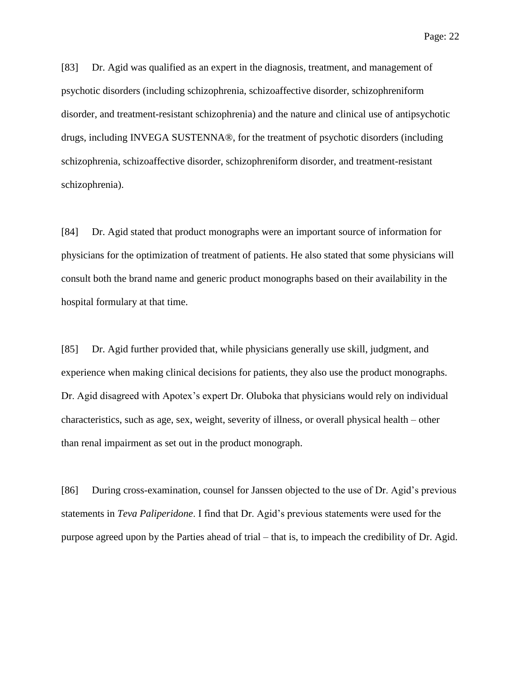[83] Dr. Agid was qualified as an expert in the diagnosis, treatment, and management of psychotic disorders (including schizophrenia, schizoaffective disorder, schizophreniform disorder, and treatment-resistant schizophrenia) and the nature and clinical use of antipsychotic drugs, including INVEGA SUSTENNA®, for the treatment of psychotic disorders (including schizophrenia, schizoaffective disorder, schizophreniform disorder, and treatment-resistant schizophrenia).

[84] Dr. Agid stated that product monographs were an important source of information for physicians for the optimization of treatment of patients. He also stated that some physicians will consult both the brand name and generic product monographs based on their availability in the hospital formulary at that time.

[85] Dr. Agid further provided that, while physicians generally use skill, judgment, and experience when making clinical decisions for patients, they also use the product monographs. Dr. Agid disagreed with Apotex's expert Dr. Oluboka that physicians would rely on individual characteristics, such as age, sex, weight, severity of illness, or overall physical health – other than renal impairment as set out in the product monograph.

[86] During cross-examination, counsel for Janssen objected to the use of Dr. Agid's previous statements in *Teva Paliperidone*. I find that Dr. Agid's previous statements were used for the purpose agreed upon by the Parties ahead of trial – that is, to impeach the credibility of Dr. Agid.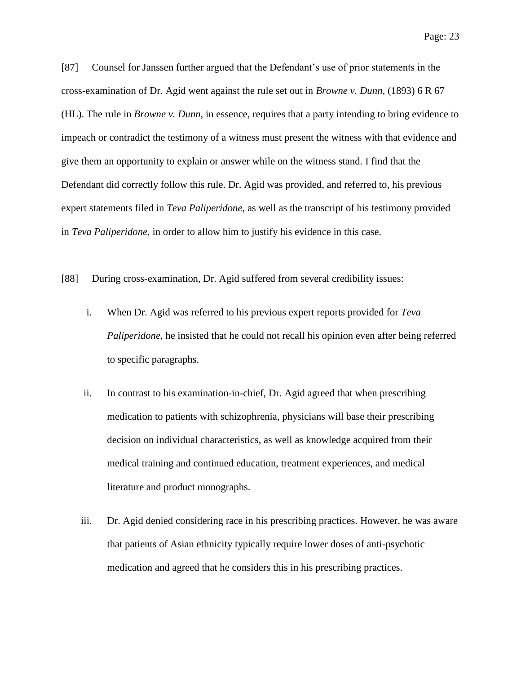[87] Counsel for Janssen further argued that the Defendant's use of prior statements in the cross-examination of Dr. Agid went against the rule set out in *Browne v. Dunn*, (1893) 6 R 67 (HL). The rule in *Browne v. Dunn*, in essence, requires that a party intending to bring evidence to impeach or contradict the testimony of a witness must present the witness with that evidence and give them an opportunity to explain or answer while on the witness stand. I find that the Defendant did correctly follow this rule. Dr. Agid was provided, and referred to, his previous expert statements filed in *Teva Paliperidone*, as well as the transcript of his testimony provided in *Teva Paliperidone*, in order to allow him to justify his evidence in this case.

[88] During cross-examination, Dr. Agid suffered from several credibility issues:

- i. When Dr. Agid was referred to his previous expert reports provided for *Teva Paliperidone*, he insisted that he could not recall his opinion even after being referred to specific paragraphs.
- ii. In contrast to his examination-in-chief, Dr. Agid agreed that when prescribing medication to patients with schizophrenia, physicians will base their prescribing decision on individual characteristics, as well as knowledge acquired from their medical training and continued education, treatment experiences, and medical literature and product monographs.
- iii. Dr. Agid denied considering race in his prescribing practices. However, he was aware that patients of Asian ethnicity typically require lower doses of anti-psychotic medication and agreed that he considers this in his prescribing practices.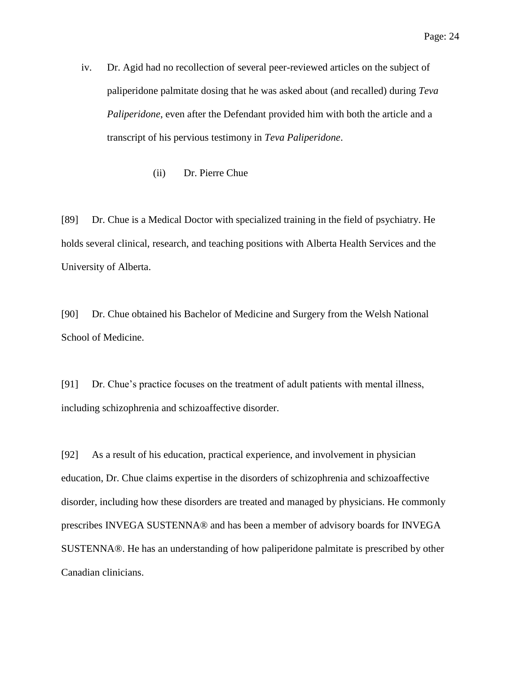- iv. Dr. Agid had no recollection of several peer-reviewed articles on the subject of paliperidone palmitate dosing that he was asked about (and recalled) during *Teva Paliperidone*, even after the Defendant provided him with both the article and a transcript of his pervious testimony in *Teva Paliperidone*.
	- (ii) Dr. Pierre Chue

[89] Dr. Chue is a Medical Doctor with specialized training in the field of psychiatry. He holds several clinical, research, and teaching positions with Alberta Health Services and the University of Alberta.

[90] Dr. Chue obtained his Bachelor of Medicine and Surgery from the Welsh National School of Medicine.

[91] Dr. Chue's practice focuses on the treatment of adult patients with mental illness, including schizophrenia and schizoaffective disorder.

[92] As a result of his education, practical experience, and involvement in physician education, Dr. Chue claims expertise in the disorders of schizophrenia and schizoaffective disorder, including how these disorders are treated and managed by physicians. He commonly prescribes INVEGA SUSTENNA® and has been a member of advisory boards for INVEGA SUSTENNA®. He has an understanding of how paliperidone palmitate is prescribed by other Canadian clinicians.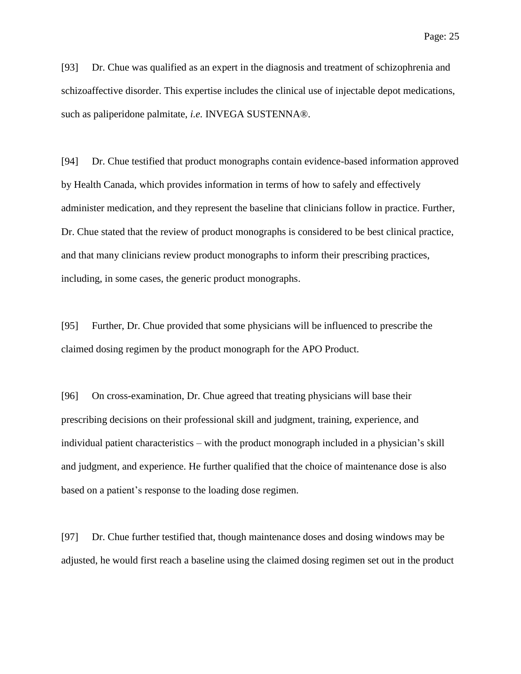[93] Dr. Chue was qualified as an expert in the diagnosis and treatment of schizophrenia and schizoaffective disorder. This expertise includes the clinical use of injectable depot medications, such as paliperidone palmitate, *i.e.* INVEGA SUSTENNA®.

[94] Dr. Chue testified that product monographs contain evidence-based information approved by Health Canada, which provides information in terms of how to safely and effectively administer medication, and they represent the baseline that clinicians follow in practice. Further, Dr. Chue stated that the review of product monographs is considered to be best clinical practice, and that many clinicians review product monographs to inform their prescribing practices, including, in some cases, the generic product monographs.

[95] Further, Dr. Chue provided that some physicians will be influenced to prescribe the claimed dosing regimen by the product monograph for the APO Product.

[96] On cross-examination, Dr. Chue agreed that treating physicians will base their prescribing decisions on their professional skill and judgment, training, experience, and individual patient characteristics – with the product monograph included in a physician's skill and judgment, and experience. He further qualified that the choice of maintenance dose is also based on a patient's response to the loading dose regimen.

[97] Dr. Chue further testified that, though maintenance doses and dosing windows may be adjusted, he would first reach a baseline using the claimed dosing regimen set out in the product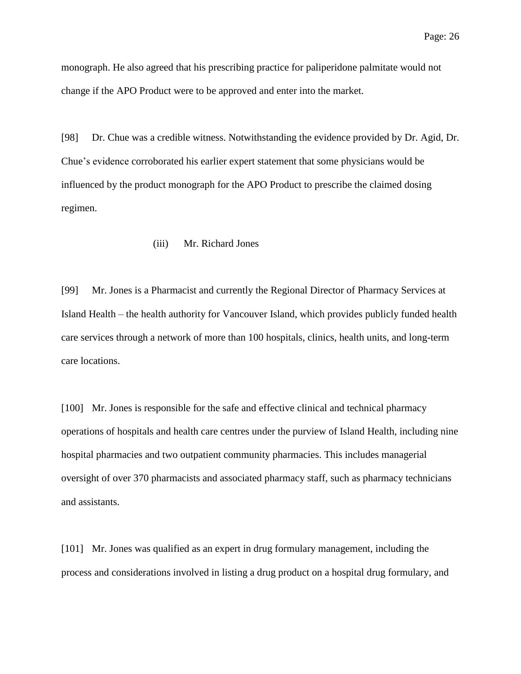monograph. He also agreed that his prescribing practice for paliperidone palmitate would not change if the APO Product were to be approved and enter into the market.

[98] Dr. Chue was a credible witness. Notwithstanding the evidence provided by Dr. Agid, Dr. Chue's evidence corroborated his earlier expert statement that some physicians would be influenced by the product monograph for the APO Product to prescribe the claimed dosing regimen.

## (iii) Mr. Richard Jones

[99] Mr. Jones is a Pharmacist and currently the Regional Director of Pharmacy Services at Island Health – the health authority for Vancouver Island, which provides publicly funded health care services through a network of more than 100 hospitals, clinics, health units, and long-term care locations.

[100] Mr. Jones is responsible for the safe and effective clinical and technical pharmacy operations of hospitals and health care centres under the purview of Island Health, including nine hospital pharmacies and two outpatient community pharmacies. This includes managerial oversight of over 370 pharmacists and associated pharmacy staff, such as pharmacy technicians and assistants.

[101] Mr. Jones was qualified as an expert in drug formulary management, including the process and considerations involved in listing a drug product on a hospital drug formulary, and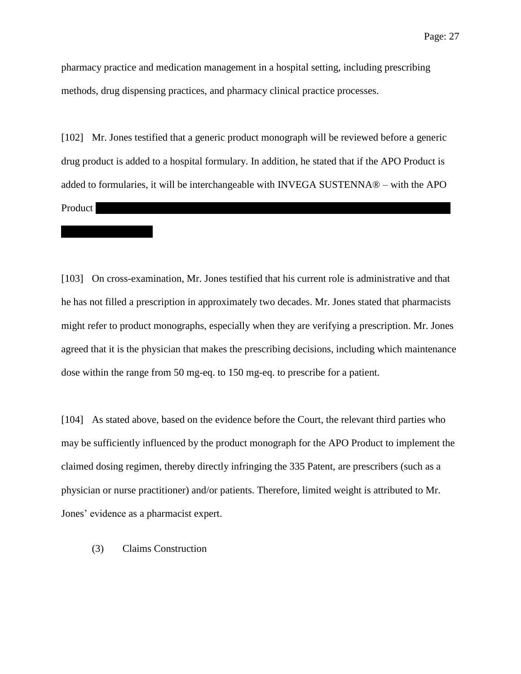pharmacy practice and medication management in a hospital setting, including prescribing methods, drug dispensing practices, and pharmacy clinical practice processes.

[102] Mr. Jones testified that a generic product monograph will be reviewed before a generic drug product is added to a hospital formulary. In addition, he stated that if the APO Product is added to formularies, it will be interchangeable with INVEGA SUSTENNA® – with the APO  $P$ roduct

[103] On cross-examination, Mr. Jones testified that his current role is administrative and that he has not filled a prescription in approximately two decades. Mr. Jones stated that pharmacists might refer to product monographs, especially when they are verifying a prescription. Mr. Jones agreed that it is the physician that makes the prescribing decisions, including which maintenance dose within the range from 50 mg-eq. to 150 mg-eq. to prescribe for a patient.

[104] As stated above, based on the evidence before the Court, the relevant third parties who may be sufficiently influenced by the product monograph for the APO Product to implement the claimed dosing regimen, thereby directly infringing the 335 Patent, are prescribers (such as a physician or nurse practitioner) and/or patients. Therefore, limited weight is attributed to Mr. Jones' evidence as a pharmacist expert.

(3) Claims Construction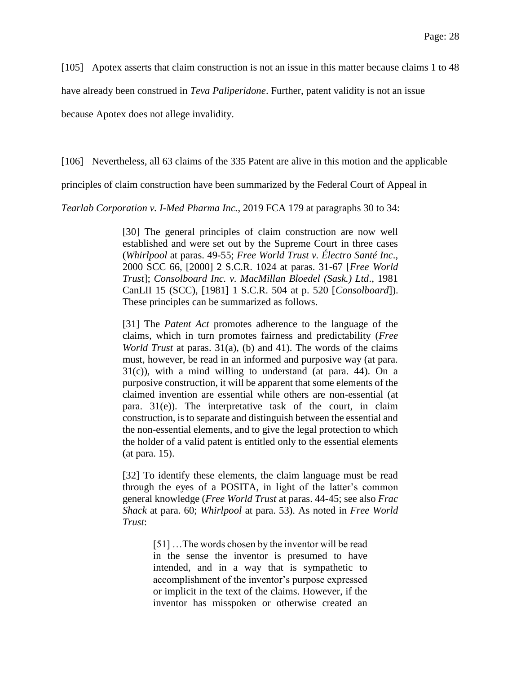[105] Apotex asserts that claim construction is not an issue in this matter because claims 1 to 48

have already been construed in *Teva Paliperidone*. Further, patent validity is not an issue

because Apotex does not allege invalidity.

[106] Nevertheless, all 63 claims of the 335 Patent are alive in this motion and the applicable

principles of claim construction have been summarized by the Federal Court of Appeal in

*Tearlab Corporation v. I-Med Pharma Inc.*, 2019 FCA 179 at paragraphs 30 to 34:

[30] The general principles of claim construction are now well established and were set out by the Supreme Court in three cases (*Whirlpool* at paras. 49-55; *Free World Trust v. Électro Santé Inc*., 2000 SCC 66, [2000] 2 S.C.R. 1024 at paras. 31-67 [*Free World Trust*]; *Consolboard Inc. v. MacMillan Bloedel (Sask.) Ltd*., 1981 CanLII 15 (SCC), [1981] 1 S.C.R. 504 at p. 520 [*Consolboard*]). These principles can be summarized as follows.

[31] The *Patent Act* promotes adherence to the language of the claims, which in turn promotes fairness and predictability (*Free World Trust* at paras. 31(a), (b) and 41). The words of the claims must, however, be read in an informed and purposive way (at para. 31(c)), with a mind willing to understand (at para. 44). On a purposive construction, it will be apparent that some elements of the claimed invention are essential while others are non-essential (at para. 31(e)). The interpretative task of the court, in claim construction, is to separate and distinguish between the essential and the non-essential elements, and to give the legal protection to which the holder of a valid patent is entitled only to the essential elements (at para. 15).

[32] To identify these elements, the claim language must be read through the eyes of a POSITA, in light of the latter's common general knowledge (*Free World Trust* at paras. 44-45; see also *Frac Shack* at para. 60; *Whirlpool* at para. 53). As noted in *Free World Trust*:

> [51] ... The words chosen by the inventor will be read in the sense the inventor is presumed to have intended, and in a way that is sympathetic to accomplishment of the inventor's purpose expressed or implicit in the text of the claims. However, if the inventor has misspoken or otherwise created an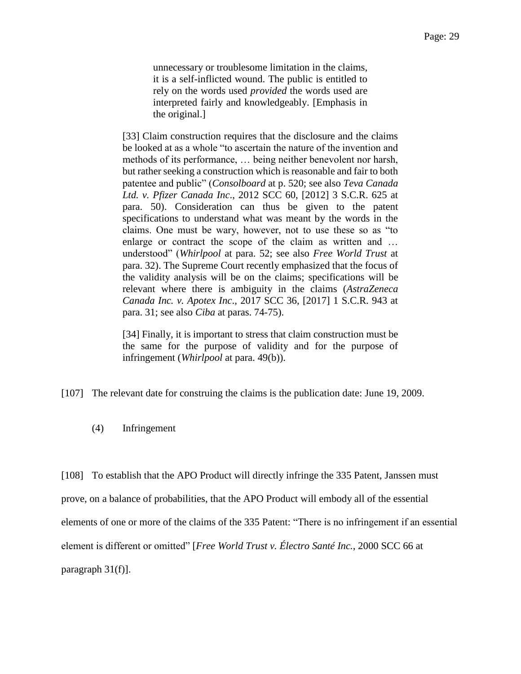unnecessary or troublesome limitation in the claims, it is a self-inflicted wound. The public is entitled to rely on the words used *provided* the words used are interpreted fairly and knowledgeably. [Emphasis in the original.]

[33] Claim construction requires that the disclosure and the claims be looked at as a whole "to ascertain the nature of the invention and methods of its performance, … being neither benevolent nor harsh, but rather seeking a construction which is reasonable and fair to both patentee and public" (*Consolboard* at p. 520; see also *Teva Canada Ltd. v. Pfizer Canada Inc*., 2012 SCC 60, [2012] 3 S.C.R. 625 at para. 50). Consideration can thus be given to the patent specifications to understand what was meant by the words in the claims. One must be wary, however, not to use these so as "to enlarge or contract the scope of the claim as written and … understood" (*Whirlpool* at para. 52; see also *Free World Trust* at para. 32). The Supreme Court recently emphasized that the focus of the validity analysis will be on the claims; specifications will be relevant where there is ambiguity in the claims (*AstraZeneca Canada Inc. v. Apotex Inc*., 2017 SCC 36, [2017] 1 S.C.R. 943 at para. 31; see also *Ciba* at paras. 74-75).

[34] Finally, it is important to stress that claim construction must be the same for the purpose of validity and for the purpose of infringement (*Whirlpool* at para. 49(b)).

[107] The relevant date for construing the claims is the publication date: June 19, 2009.

(4) Infringement

[108] To establish that the APO Product will directly infringe the 335 Patent, Janssen must prove, on a balance of probabilities, that the APO Product will embody all of the essential elements of one or more of the claims of the 335 Patent: "There is no infringement if an essential element is different or omitted" [*Free World Trust v. Électro Santé Inc.*, 2000 SCC 66 at paragraph 31(f)].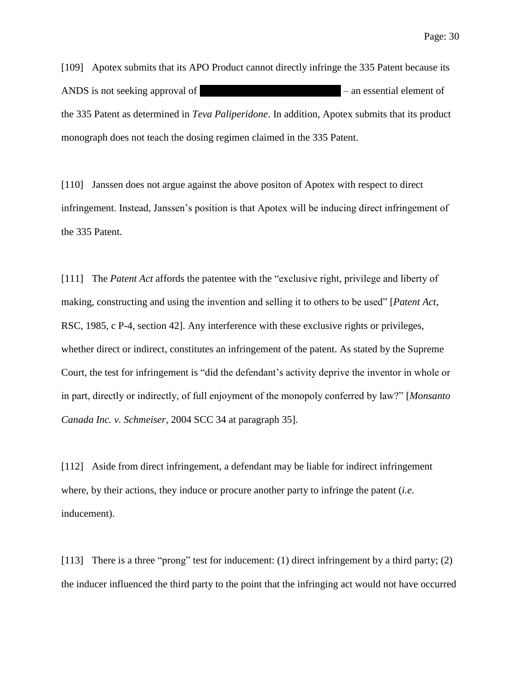[109] Apotex submits that its APO Product cannot directly infringe the 335 Patent because its ANDS is not seeking approval of  $\blacksquare$ the 335 Patent as determined in *Teva Paliperidone*. In addition, Apotex submits that its product monograph does not teach the dosing regimen claimed in the 335 Patent.

[110] Janssen does not argue against the above positon of Apotex with respect to direct infringement. Instead, Janssen's position is that Apotex will be inducing direct infringement of the 335 Patent.

[111] The *Patent Act* affords the patentee with the "exclusive right, privilege and liberty of making, constructing and using the invention and selling it to others to be used" [*Patent Act*, RSC, 1985, c P-4, section 42]. Any interference with these exclusive rights or privileges, whether direct or indirect, constitutes an infringement of the patent. As stated by the Supreme Court, the test for infringement is "did the defendant's activity deprive the inventor in whole or in part, directly or indirectly, of full enjoyment of the monopoly conferred by law?" [*Monsanto Canada Inc. v. Schmeiser*, 2004 SCC 34 at paragraph 35].

[112] Aside from direct infringement, a defendant may be liable for indirect infringement where, by their actions, they induce or procure another party to infringe the patent (*i.e.* inducement).

[113] There is a three "prong" test for inducement: (1) direct infringement by a third party; (2) the inducer influenced the third party to the point that the infringing act would not have occurred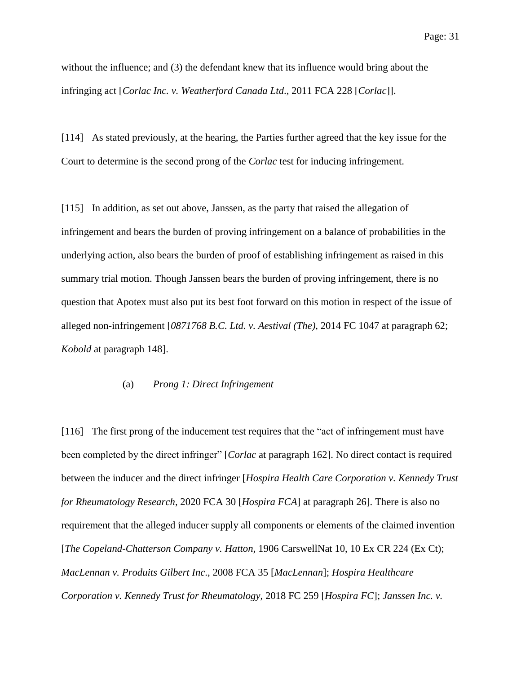without the influence; and (3) the defendant knew that its influence would bring about the infringing act [*Corlac Inc. v. Weatherford Canada Ltd*., 2011 FCA 228 [*Corlac*]].

[114] As stated previously, at the hearing, the Parties further agreed that the key issue for the Court to determine is the second prong of the *Corlac* test for inducing infringement.

[115] In addition, as set out above, Janssen, as the party that raised the allegation of infringement and bears the burden of proving infringement on a balance of probabilities in the underlying action, also bears the burden of proof of establishing infringement as raised in this summary trial motion. Though Janssen bears the burden of proving infringement, there is no question that Apotex must also put its best foot forward on this motion in respect of the issue of alleged non-infringement [*0871768 B.C. Ltd. v. Aestival (The)*, 2014 FC 1047 at paragraph 62; *Kobold* at paragraph 148].

### (a) *Prong 1: Direct Infringement*

[116] The first prong of the inducement test requires that the "act of infringement must have been completed by the direct infringer" [*Corlac* at paragraph 162]. No direct contact is required between the inducer and the direct infringer [*Hospira Health Care Corporation v. Kennedy Trust for Rheumatology Research*, 2020 FCA 30 [*Hospira FCA*] at paragraph 26]. There is also no requirement that the alleged inducer supply all components or elements of the claimed invention [*The Copeland-Chatterson Company v. Hatton,* 1906 CarswellNat 10, 10 Ex CR 224 (Ex Ct); *MacLennan v. Produits Gilbert Inc*., 2008 FCA 35 [*MacLennan*]; *Hospira Healthcare Corporation v. Kennedy Trust for Rheumatology*, 2018 FC 259 [*Hospira FC*]; *Janssen Inc. v.*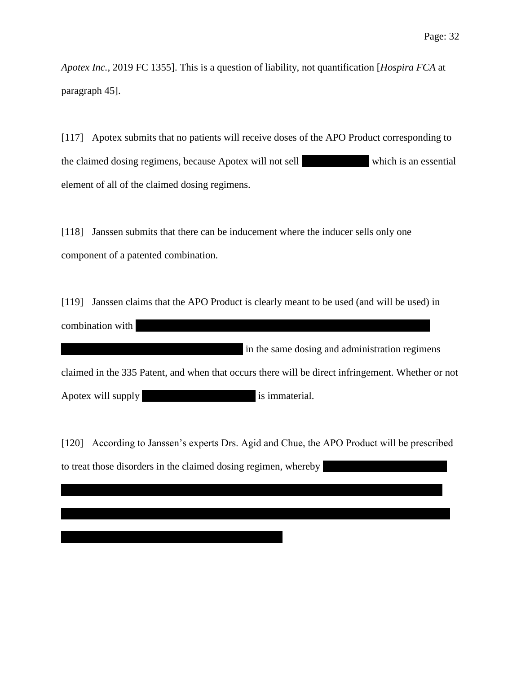*Apotex Inc.,* 2019 FC 1355]. This is a question of liability, not quantification [*Hospira FCA* at paragraph 45].

[117] Apotex submits that no patients will receive doses of the APO Product corresponding to the claimed dosing regimens, because Apotex will not sell which is an essential element of all of the claimed dosing regimens.

[118] Janssen submits that there can be inducement where the inducer sells only one component of a patented combination.

[119] Janssen claims that the APO Product is clearly meant to be used (and will be used) in combination with

| in the same dosing and administration regimens claimed in the 335 Patent, and when that occurs there will be direct infringement. Whether or not Apotex will supply  $\qquad \qquad$  is immaterial.

[120] According to Janssen's experts Drs. Agid and Chue, the APO Product will be prescribed to treat those disorders in the claimed dosing regimen, whereby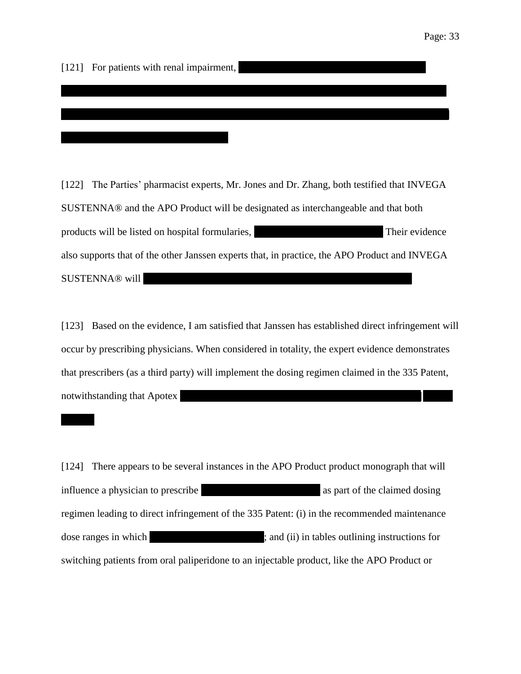[121] For patients with renal impairment,

[122] The Parties' pharmacist experts, Mr. Jones and Dr. Zhang, both testified that INVEGA SUSTENNA® and the APO Product will be designated as interchangeable and that both products will be listed on hospital formularies, Their evidence also supports that of the other Janssen experts that, in practice, the APO Product and INVEGA SUSTENNA® will ||||||||||||||||||||||||||||||||||||||||||||||||||||||||||||||||||||||||||||||||||||||||||||||||||||||| |

|||||||||||||||||||||||||||||||||||||||||||||||||||||||||||||||||||||||||||||||||||||||||||||||||||||||||||||||||||||||||||||||||||||||||||||| ||||||||

[123] Based on the evidence, I am satisfied that Janssen has established direct infringement will occur by prescribing physicians. When considered in totality, the expert evidence demonstrates that prescribers (as a third party) will implement the dosing regimen claimed in the 335 Patent, notwithstanding that Apotex

[124] There appears to be several instances in the APO Product product monograph that will influence a physician to prescribe  $\qquad \qquad$  as part of the claimed dosing regimen leading to direct infringement of the 335 Patent: (i) in the recommended maintenance dose ranges in which  $\qquad \qquad ;$  and (ii) in tables outlining instructions for switching patients from oral paliperidone to an injectable product, like the APO Product or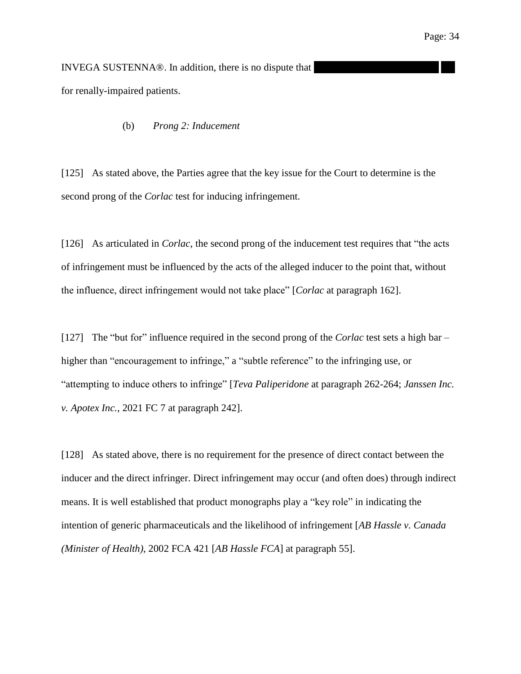INVEGA SUSTENNA®. In addition, there is no dispute that for renally-impaired patients.

(b) *Prong 2: Inducement*

[125] As stated above, the Parties agree that the key issue for the Court to determine is the second prong of the *Corlac* test for inducing infringement.

[126] As articulated in *Corlac*, the second prong of the inducement test requires that "the acts" of infringement must be influenced by the acts of the alleged inducer to the point that, without the influence, direct infringement would not take place" [*Corlac* at paragraph 162].

[127] The "but for" influence required in the second prong of the *Corlac* test sets a high bar – higher than "encouragement to infringe," a "subtle reference" to the infringing use, or "attempting to induce others to infringe" [*Teva Paliperidone* at paragraph 262-264; *Janssen Inc. v. Apotex Inc.*, 2021 FC 7 at paragraph 242].

[128] As stated above, there is no requirement for the presence of direct contact between the inducer and the direct infringer. Direct infringement may occur (and often does) through indirect means. It is well established that product monographs play a "key role" in indicating the intention of generic pharmaceuticals and the likelihood of infringement [*AB Hassle v. Canada (Minister of Health)*, 2002 FCA 421 [*AB Hassle FCA*] at paragraph 55].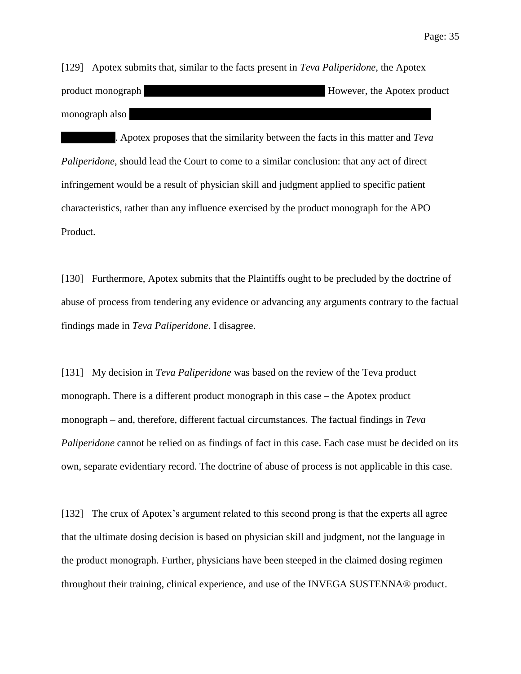Page: 35

[129] Apotex submits that, similar to the facts present in *Teva Paliperidone*, the Apotex product monograph  $|$  =  $|$  =  $|$  =  $|$  =  $|$  =  $|$  =  $|$  =  $|$  =  $|$  =  $|$  =  $|$  =  $|$  =  $|$  =  $|$  =  $|$  =  $|$  =  $|$  =  $|$  =  $|$  =  $|$  =  $|$  =  $|$  =  $|$  =  $|$  =  $|$  =  $|$  =  $|$  =  $|$  =  $|$  =  $|$  =  $|$  =  $|$  =  $|$  =  $|$  = monograph also ||||||||||||||||||||||||||||||||||||||||||||||||||||||||||||||||||||||||||||||||||||||||||||||||||||||||||||||||||| |

||||||||||||||||||||. Apotex proposes that the similarity between the facts in this matter and *Teva Paliperidone*, should lead the Court to come to a similar conclusion: that any act of direct infringement would be a result of physician skill and judgment applied to specific patient characteristics, rather than any influence exercised by the product monograph for the APO Product.

[130] Furthermore, Apotex submits that the Plaintiffs ought to be precluded by the doctrine of abuse of process from tendering any evidence or advancing any arguments contrary to the factual findings made in *Teva Paliperidone*. I disagree.

[131] My decision in *Teva Paliperidone* was based on the review of the Teva product monograph. There is a different product monograph in this case – the Apotex product monograph – and, therefore, different factual circumstances. The factual findings in *Teva Paliperidone* cannot be relied on as findings of fact in this case. Each case must be decided on its own, separate evidentiary record. The doctrine of abuse of process is not applicable in this case.

[132] The crux of Apotex's argument related to this second prong is that the experts all agree that the ultimate dosing decision is based on physician skill and judgment, not the language in the product monograph. Further, physicians have been steeped in the claimed dosing regimen throughout their training, clinical experience, and use of the INVEGA SUSTENNA® product.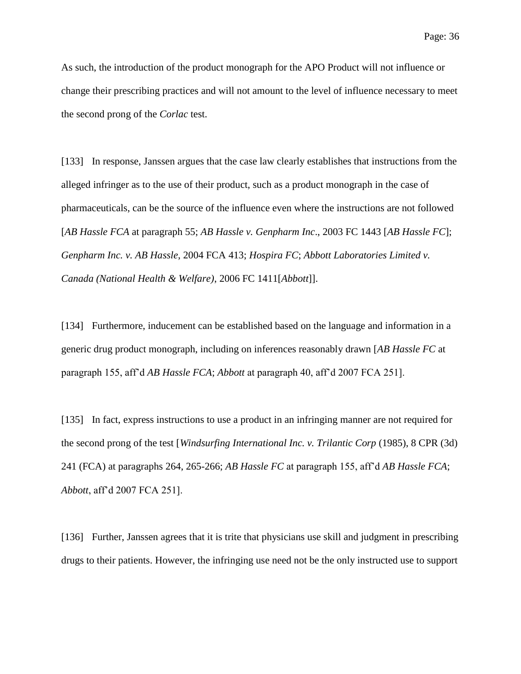As such, the introduction of the product monograph for the APO Product will not influence or change their prescribing practices and will not amount to the level of influence necessary to meet the second prong of the *Corlac* test.

[133] In response, Janssen argues that the case law clearly establishes that instructions from the alleged infringer as to the use of their product, such as a product monograph in the case of pharmaceuticals, can be the source of the influence even where the instructions are not followed [*AB Hassle FCA* at paragraph 55; *AB Hassle v. Genpharm Inc*., 2003 FC 1443 [*AB Hassle FC*]; *Genpharm Inc. v. AB Hassle*, 2004 FCA 413; *Hospira FC*; *Abbott Laboratories Limited v. Canada (National Health & Welfare)*, 2006 FC 1411[*Abbott*]].

[134] Furthermore, inducement can be established based on the language and information in a generic drug product monograph, including on inferences reasonably drawn [*AB Hassle FC* at paragraph 155, aff'd *AB Hassle FCA*; *Abbott* at paragraph 40, aff'd 2007 FCA 251].

[135] In fact, express instructions to use a product in an infringing manner are not required for the second prong of the test [*Windsurfing International Inc. v. Trilantic Corp* (1985), 8 CPR (3d) 241 (FCA) at paragraphs 264, 265-266; *AB Hassle FC* at paragraph 155, aff'd *AB Hassle FCA*; *Abbott*, aff'd 2007 FCA 251].

[136] Further, Janssen agrees that it is trite that physicians use skill and judgment in prescribing drugs to their patients. However, the infringing use need not be the only instructed use to support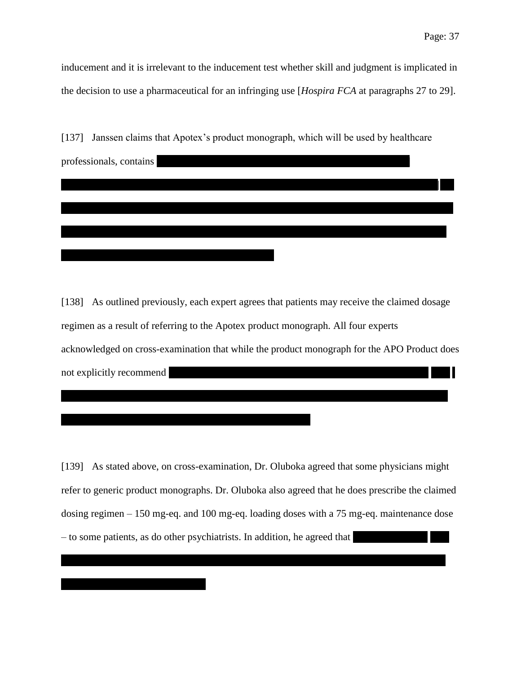inducement and it is irrelevant to the inducement test whether skill and judgment is implicated in the decision to use a pharmaceutical for an infringing use [*Hospira FCA* at paragraphs 27 to 29].

| [137] | Janssen claims that Apotex's product monograph, which will be used by healthcare |
|-------|----------------------------------------------------------------------------------|
|       | professionals, contains                                                          |
|       |                                                                                  |
|       |                                                                                  |
|       |                                                                                  |
|       |                                                                                  |

[138] As outlined previously, each expert agrees that patients may receive the claimed dosage regimen as a result of referring to the Apotex product monograph. All four experts acknowledged on cross-examination that while the product monograph for the APO Product does  $\blacksquare$ not explicitly recommend

[139] As stated above, on cross-examination, Dr. Oluboka agreed that some physicians might refer to generic product monographs. Dr. Oluboka also agreed that he does prescribe the claimed dosing regimen – 150 mg-eq. and 100 mg-eq. loading doses with a 75 mg-eq. maintenance dose – to some patients, as do other psychiatrists. In addition, he agreed that |||||||||||||||||||||||||||| || || | |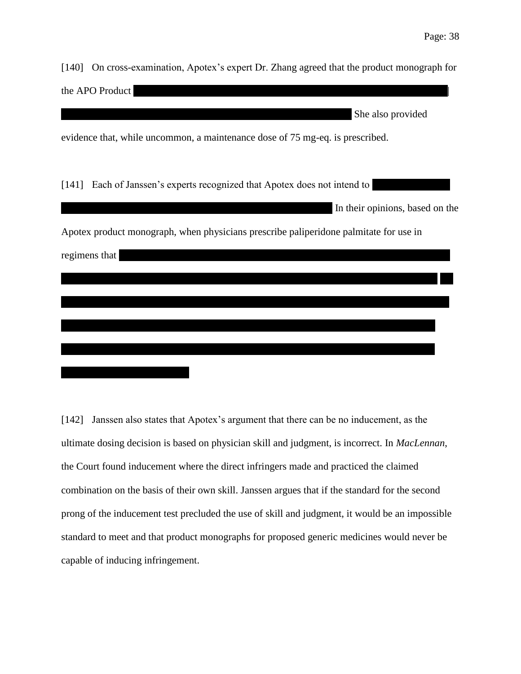[140] On cross-examination, Apotex's expert Dr. Zhang agreed that the product monograph for the APO Product  $\mathop{\mathrm{She\ also\ provided}}$ evidence that, while uncommon, a maintenance dose of 75 mg-eq. is prescribed. [141] Each of Janssen's experts recognized that Apotex does not intend to In their opinions, based on the Apotex product monograph, when physicians prescribe paliperidone palmitate for use in regimens that  $\frac{1}{1}$ |||||||||||||||||||||||||||||||||||||||||||||||||||||||||||||||||||||||||||||||||||||||||||||||||||||||||||||||||||||||||||||||||||||||||||||||||| | | | |

[142] Janssen also states that Apotex's argument that there can be no inducement, as the ultimate dosing decision is based on physician skill and judgment, is incorrect. In *MacLennan*, the Court found inducement where the direct infringers made and practiced the claimed combination on the basis of their own skill. Janssen argues that if the standard for the second prong of the inducement test precluded the use of skill and judgment, it would be an impossible standard to meet and that product monographs for proposed generic medicines would never be capable of inducing infringement.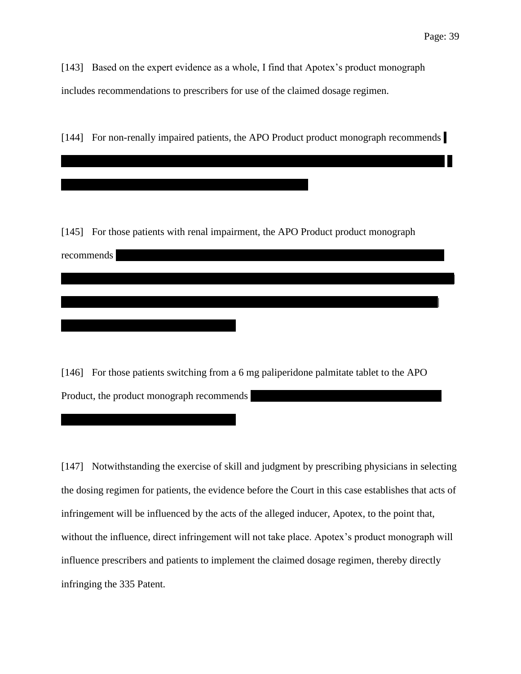[143] Based on the expert evidence as a whole, I find that Apotex's product monograph includes recommendations to prescribers for use of the claimed dosage regimen.

[144] For non-renally impaired patients, the APO Product product monograph recommends

||||||||||||||||||||||||||||||||||||||||||||||||||||||||||||||||||||||||||||||||||||||||||||||||||||||||||||||||||||||||||||| ||||||||||||||||||||||| <sup>|</sup>

[145] For those patients with renal impairment, the APO Product product monograph

||||||||||||||||||||||||||||||||||||||||||||||||||||||||||||||||||||||||||||||||||||||||||||||||||||||||||||||||||||||||||||| |||||||||||||||||||||||||||

 ${\rm recommendations}$ 

[146] For those patients switching from a 6 mg paliperidone palmitate tablet to the APO Product, the product monograph recommends

||||||||||||||||||||||||||||||||||||||||||||||||| |||||||||||||||||||||||||||||||||||||||||||||||||||||||||||||||||||||||||||||||||||||||||||||||| |

[147] Notwithstanding the exercise of skill and judgment by prescribing physicians in selecting the dosing regimen for patients, the evidence before the Court in this case establishes that acts of infringement will be influenced by the acts of the alleged inducer, Apotex, to the point that, without the influence, direct infringement will not take place. Apotex's product monograph will influence prescribers and patients to implement the claimed dosage regimen, thereby directly infringing the 335 Patent.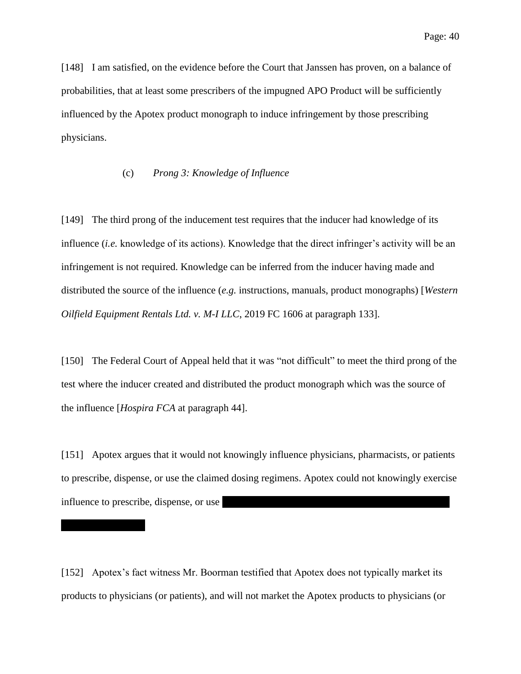[148] I am satisfied, on the evidence before the Court that Janssen has proven, on a balance of probabilities, that at least some prescribers of the impugned APO Product will be sufficiently influenced by the Apotex product monograph to induce infringement by those prescribing physicians.

### (c) *Prong 3: Knowledge of Influence*

[149] The third prong of the inducement test requires that the inducer had knowledge of its influence (*i.e.* knowledge of its actions). Knowledge that the direct infringer's activity will be an infringement is not required. Knowledge can be inferred from the inducer having made and distributed the source of the influence (*e.g.* instructions, manuals, product monographs) [*Western Oilfield Equipment Rentals Ltd. v. M-I LLC*, 2019 FC 1606 at paragraph 133].

[150] The Federal Court of Appeal held that it was "not difficult" to meet the third prong of the test where the inducer created and distributed the product monograph which was the source of the influence [*Hospira FCA* at paragraph 44].

[151] Apotex argues that it would not knowingly influence physicians, pharmacists, or patients to prescribe, dispense, or use the claimed dosing regimens. Apotex could not knowingly exercise influence to prescribe, dispense, or use ||||||||||||||||||||||||||||||||||||||||||||||||||||||||||||||||||||||||||||||||||||| |

[152] Apotex's fact witness Mr. Boorman testified that Apotex does not typically market its products to physicians (or patients), and will not market the Apotex products to physicians (or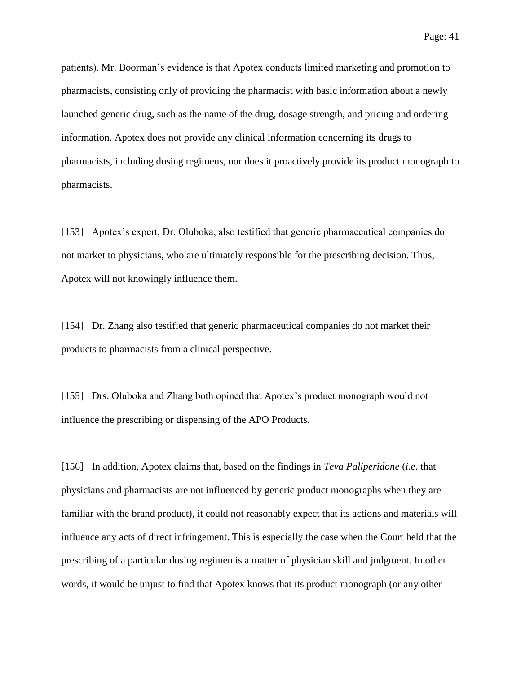Page: 41

patients). Mr. Boorman's evidence is that Apotex conducts limited marketing and promotion to pharmacists, consisting only of providing the pharmacist with basic information about a newly launched generic drug, such as the name of the drug, dosage strength, and pricing and ordering information. Apotex does not provide any clinical information concerning its drugs to pharmacists, including dosing regimens, nor does it proactively provide its product monograph to pharmacists.

[153] Apotex's expert, Dr. Oluboka, also testified that generic pharmaceutical companies do not market to physicians, who are ultimately responsible for the prescribing decision. Thus, Apotex will not knowingly influence them.

[154] Dr. Zhang also testified that generic pharmaceutical companies do not market their products to pharmacists from a clinical perspective.

[155] Drs. Oluboka and Zhang both opined that Apotex's product monograph would not influence the prescribing or dispensing of the APO Products.

[156] In addition, Apotex claims that, based on the findings in *Teva Paliperidone* (*i.e*. that physicians and pharmacists are not influenced by generic product monographs when they are familiar with the brand product), it could not reasonably expect that its actions and materials will influence any acts of direct infringement. This is especially the case when the Court held that the prescribing of a particular dosing regimen is a matter of physician skill and judgment. In other words, it would be unjust to find that Apotex knows that its product monograph (or any other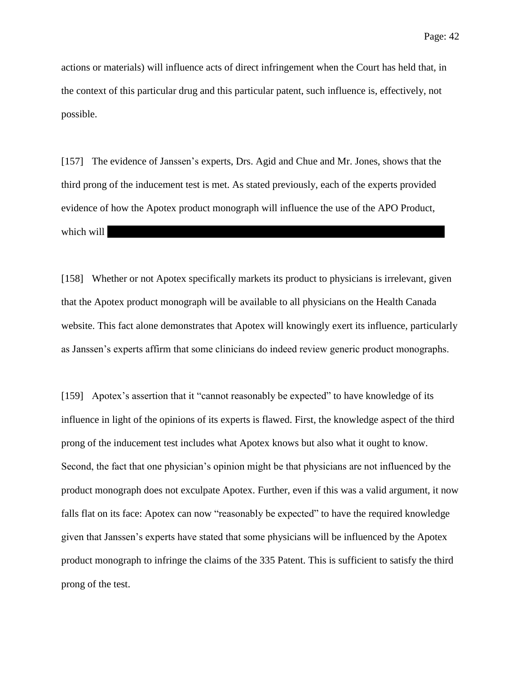actions or materials) will influence acts of direct infringement when the Court has held that, in the context of this particular drug and this particular patent, such influence is, effectively, not possible.

[157] The evidence of Janssen's experts, Drs. Agid and Chue and Mr. Jones, shows that the third prong of the inducement test is met. As stated previously, each of the experts provided evidence of how the Apotex product monograph will influence the use of the APO Product,  $|$  which will

[158] Whether or not Apotex specifically markets its product to physicians is irrelevant, given that the Apotex product monograph will be available to all physicians on the Health Canada website. This fact alone demonstrates that Apotex will knowingly exert its influence, particularly as Janssen's experts affirm that some clinicians do indeed review generic product monographs.

[159] Apotex's assertion that it "cannot reasonably be expected" to have knowledge of its influence in light of the opinions of its experts is flawed. First, the knowledge aspect of the third prong of the inducement test includes what Apotex knows but also what it ought to know. Second, the fact that one physician's opinion might be that physicians are not influenced by the product monograph does not exculpate Apotex. Further, even if this was a valid argument, it now falls flat on its face: Apotex can now "reasonably be expected" to have the required knowledge given that Janssen's experts have stated that some physicians will be influenced by the Apotex product monograph to infringe the claims of the 335 Patent. This is sufficient to satisfy the third prong of the test.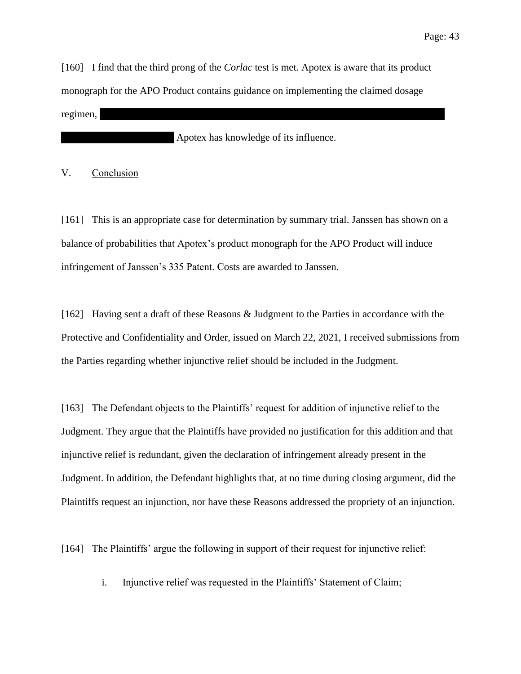[160] I find that the third prong of the *Corlac* test is met. Apotex is aware that its product monograph for the APO Product contains guidance on implementing the claimed dosage  $\text{regimen},$ 

Apotex has knowledge of its influence.

V. Conclusion

[161] This is an appropriate case for determination by summary trial. Janssen has shown on a balance of probabilities that Apotex's product monograph for the APO Product will induce infringement of Janssen's 335 Patent. Costs are awarded to Janssen.

[162] Having sent a draft of these Reasons & Judgment to the Parties in accordance with the Protective and Confidentiality and Order, issued on March 22, 2021, I received submissions from the Parties regarding whether injunctive relief should be included in the Judgment.

[163] The Defendant objects to the Plaintiffs' request for addition of injunctive relief to the Judgment. They argue that the Plaintiffs have provided no justification for this addition and that injunctive relief is redundant, given the declaration of infringement already present in the Judgment. In addition, the Defendant highlights that, at no time during closing argument, did the Plaintiffs request an injunction, nor have these Reasons addressed the propriety of an injunction.

[164] The Plaintiffs' argue the following in support of their request for injunctive relief:

i. Injunctive relief was requested in the Plaintiffs' Statement of Claim;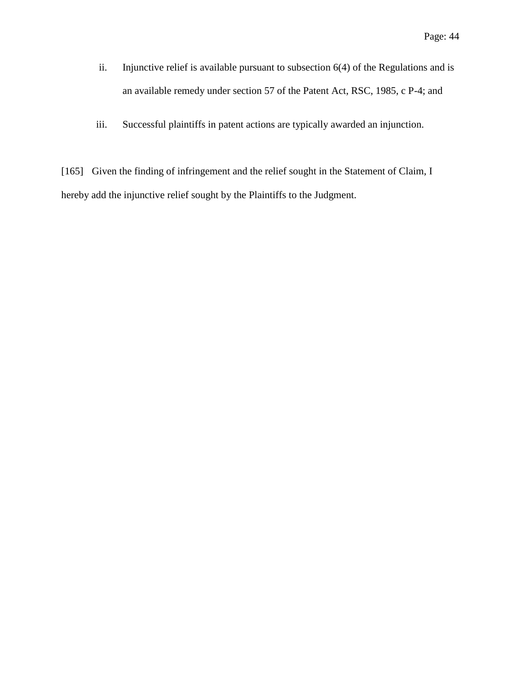- ii. Injunctive relief is available pursuant to subsection 6(4) of the Regulations and is an available remedy under section 57 of the Patent Act, RSC, 1985, c P-4; and
- iii. Successful plaintiffs in patent actions are typically awarded an injunction.

[165] Given the finding of infringement and the relief sought in the Statement of Claim, I hereby add the injunctive relief sought by the Plaintiffs to the Judgment.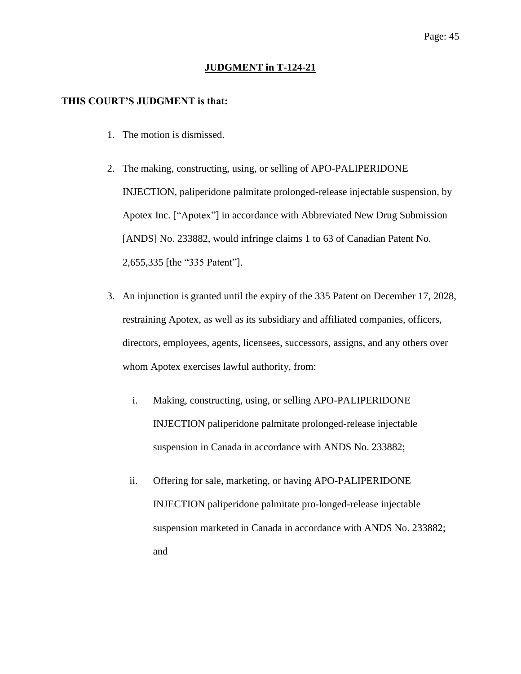### **JUDGMENT in T-124-21**

#### **THIS COURT'S JUDGMENT is that:**

- 1. The motion is dismissed.
- 2. The making, constructing, using, or selling of APO-PALIPERIDONE INJECTION, paliperidone palmitate prolonged-release injectable suspension, by Apotex Inc. ["Apotex"] in accordance with Abbreviated New Drug Submission [ANDS] No. 233882, would infringe claims 1 to 63 of Canadian Patent No. 2,655,335 [the "335 Patent"].
- 3. An injunction is granted until the expiry of the 335 Patent on December 17, 2028, restraining Apotex, as well as its subsidiary and affiliated companies, officers, directors, employees, agents, licensees, successors, assigns, and any others over whom Apotex exercises lawful authority, from:
	- i. Making, constructing, using, or selling APO-PALIPERIDONE INJECTION paliperidone palmitate prolonged-release injectable suspension in Canada in accordance with ANDS No. 233882;
	- ii. Offering for sale, marketing, or having APO-PALIPERIDONE INJECTION paliperidone palmitate pro-longed-release injectable suspension marketed in Canada in accordance with ANDS No. 233882; and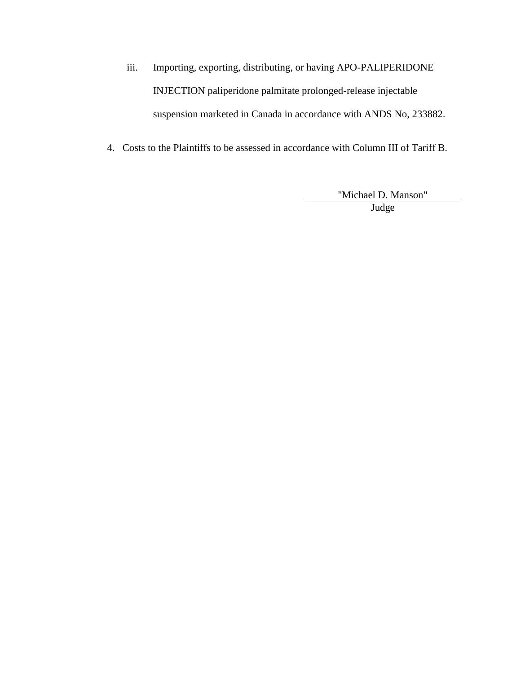- iii. Importing, exporting, distributing, or having APO-PALIPERIDONE INJECTION paliperidone palmitate prolonged-release injectable suspension marketed in Canada in accordance with ANDS No, 233882.
- 4. Costs to the Plaintiffs to be assessed in accordance with Column III of Tariff B.

"Michael D. Manson" Judge